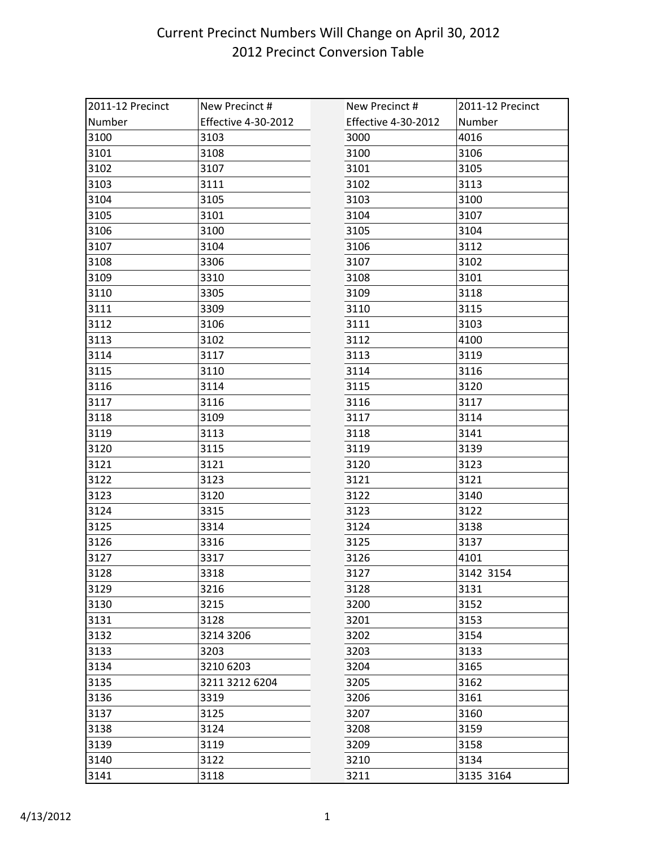2011‐12 Precinct

Number

3142 3154

3135 3164

| 2011-12 Precinct | New Precinct #             | New Precinct #             | 2011 |
|------------------|----------------------------|----------------------------|------|
| Number           | <b>Effective 4-30-2012</b> | <b>Effective 4-30-2012</b> | Num  |
| 3100             | 3103                       | 3000                       | 4016 |
| 3101             | 3108                       | 3100                       | 3106 |
| 3102             | 3107                       | 3101                       | 3105 |
| 3103             | 3111                       | 3102                       | 3113 |
| 3104             | 3105                       | 3103                       | 3100 |
| 3105             | 3101                       | 3104                       | 3107 |
| 3106             | 3100                       | 3105                       | 3104 |
| 3107             | 3104                       | 3106                       | 3112 |
| 3108             | 3306                       | 3107                       | 3102 |
| 3109             | 3310                       | 3108                       | 3101 |
| 3110             | 3305                       | 3109                       | 3118 |
| 3111             | 3309                       | 3110                       | 3115 |
| 3112             | 3106                       | 3111                       | 3103 |
| 3113             | 3102                       | 3112                       | 4100 |
| 3114             | 3117                       | 3113                       | 3119 |
| 3115             | 3110                       | 3114                       | 3116 |
| 3116             | 3114                       | 3115                       | 3120 |
| 3117             | 3116                       | 3116                       | 3117 |
| 3118             | 3109                       | 3117                       | 3114 |
| 3119             | 3113                       | 3118                       | 3141 |
| 3120             | 3115                       | 3119                       | 3139 |
| 3121             | 3121                       | 3120                       | 3123 |
| 3122             | 3123                       | 3121                       | 3121 |
| 3123             | 3120                       | 3122                       | 3140 |
| 3124             | 3315                       | 3123                       | 3122 |
| 3125             | 3314                       | 3124                       | 3138 |
| 3126             | 3316                       | 3125                       | 3137 |
| 3127             | 3317                       | 3126                       | 4101 |
| 3128             | 3318                       | 3127                       | 3142 |
| 3129             | 3216                       | 3128                       | 3131 |
| 3130             | 3215                       | 3200                       | 3152 |
| 3131             | 3128                       | 3201                       | 3153 |
| 3132             | 3214 3206                  | 3202                       | 3154 |
| 3133             | 3203                       | 3203                       | 3133 |
| 3134             | 3210 6203                  | 3204                       | 3165 |
| 3135             | 3211 3212 6204             | 3205                       | 3162 |
| 3136             | 3319                       | 3206                       | 3161 |
| 3137             | 3125                       | 3207                       | 3160 |
| 3138             | 3124                       | 3208                       | 3159 |
| 3139             | 3119                       | 3209                       | 3158 |
| 3140             | 3122                       | 3210                       | 3134 |
| 3141             | 3118                       | 3211                       | 3135 |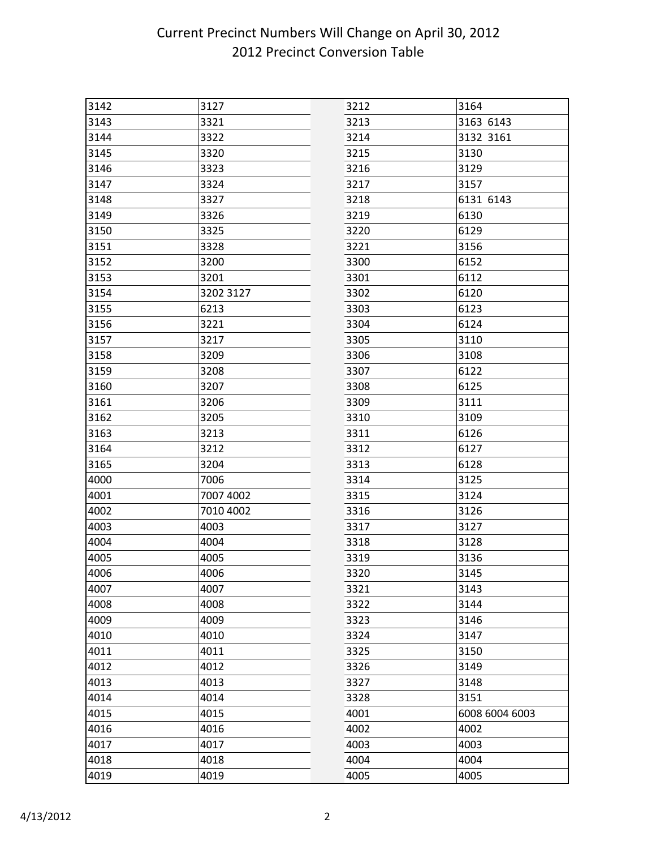| 3142 | 3127      | 3212 | 3164           |
|------|-----------|------|----------------|
| 3143 | 3321      | 3213 | 3163 6143      |
| 3144 | 3322      | 3214 | 3132 3161      |
| 3145 | 3320      | 3215 | 3130           |
| 3146 | 3323      | 3216 | 3129           |
| 3147 | 3324      | 3217 | 3157           |
| 3148 | 3327      | 3218 | 6131 6143      |
| 3149 | 3326      | 3219 | 6130           |
| 3150 | 3325      | 3220 | 6129           |
| 3151 | 3328      | 3221 | 3156           |
| 3152 | 3200      | 3300 | 6152           |
| 3153 | 3201      | 3301 | 6112           |
| 3154 | 3202 3127 | 3302 | 6120           |
| 3155 | 6213      | 3303 | 6123           |
| 3156 | 3221      | 3304 | 6124           |
| 3157 | 3217      | 3305 | 3110           |
| 3158 | 3209      | 3306 | 3108           |
| 3159 | 3208      | 3307 | 6122           |
| 3160 | 3207      | 3308 | 6125           |
| 3161 | 3206      | 3309 | 3111           |
| 3162 | 3205      | 3310 | 3109           |
| 3163 | 3213      | 3311 | 6126           |
| 3164 | 3212      | 3312 | 6127           |
| 3165 | 3204      | 3313 | 6128           |
| 4000 | 7006      | 3314 | 3125           |
| 4001 | 7007 4002 | 3315 | 3124           |
| 4002 | 7010 4002 | 3316 | 3126           |
| 4003 | 4003      | 3317 | 3127           |
| 4004 | 4004      | 3318 | 3128           |
| 4005 | 4005      | 3319 | 3136           |
| 4006 | 4006      | 3320 | 3145           |
| 4007 | 4007      | 3321 | 3143           |
| 4008 | 4008      | 3322 | 3144           |
| 4009 | 4009      | 3323 | 3146           |
| 4010 | 4010      | 3324 | 3147           |
| 4011 | 4011      | 3325 | 3150           |
| 4012 | 4012      | 3326 | 3149           |
| 4013 | 4013      | 3327 | 3148           |
| 4014 | 4014      | 3328 | 3151           |
| 4015 | 4015      | 4001 | 6008 6004 6003 |
| 4016 | 4016      | 4002 | 4002           |
| 4017 | 4017      | 4003 | 4003           |
| 4018 | 4018      | 4004 | 4004           |
| 4019 | 4019      | 4005 | 4005           |
|      |           |      |                |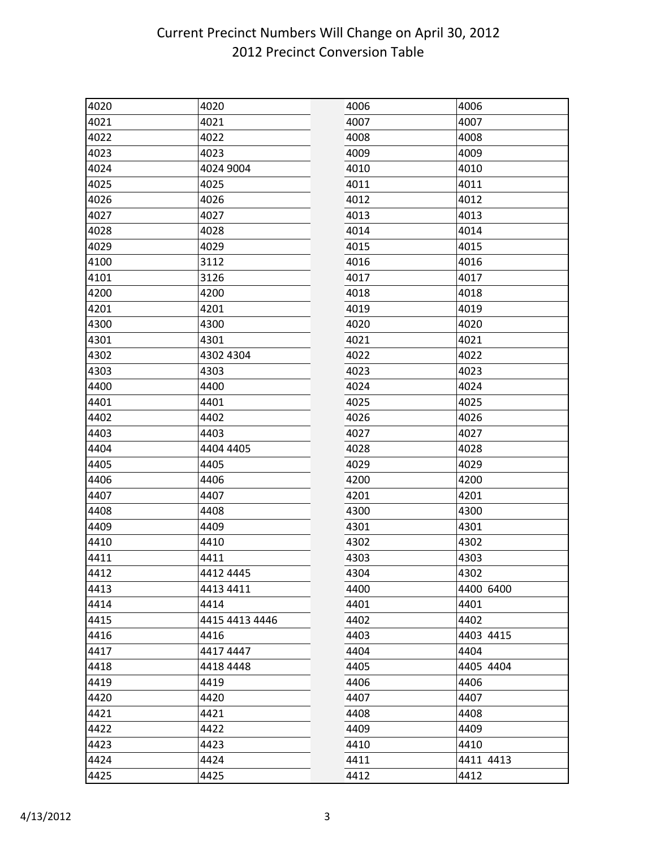| 4020 | 4020           | 4006 | 4006      |
|------|----------------|------|-----------|
| 4021 | 4021           | 4007 | 4007      |
| 4022 | 4022           | 4008 | 4008      |
| 4023 | 4023           | 4009 | 4009      |
| 4024 | 4024 9004      | 4010 | 4010      |
| 4025 | 4025           | 4011 | 4011      |
| 4026 | 4026           | 4012 | 4012      |
| 4027 | 4027           | 4013 | 4013      |
| 4028 | 4028           | 4014 | 4014      |
| 4029 | 4029           | 4015 | 4015      |
| 4100 | 3112           | 4016 | 4016      |
| 4101 | 3126           | 4017 | 4017      |
| 4200 | 4200           | 4018 | 4018      |
| 4201 | 4201           | 4019 | 4019      |
| 4300 | 4300           | 4020 | 4020      |
| 4301 | 4301           | 4021 | 4021      |
| 4302 | 4302 4304      | 4022 | 4022      |
| 4303 | 4303           | 4023 | 4023      |
| 4400 | 4400           | 4024 | 4024      |
| 4401 | 4401           | 4025 | 4025      |
| 4402 | 4402           | 4026 | 4026      |
| 4403 | 4403           | 4027 | 4027      |
| 4404 | 4404 4405      | 4028 | 4028      |
| 4405 | 4405           | 4029 | 4029      |
| 4406 | 4406           | 4200 | 4200      |
| 4407 | 4407           | 4201 | 4201      |
| 4408 | 4408           | 4300 | 4300      |
| 4409 | 4409           | 4301 | 4301      |
| 4410 | 4410           | 4302 | 4302      |
| 4411 | 4411           | 4303 | 4303      |
| 4412 | 4412 4445      | 4304 | 4302      |
| 4413 | 4413 4411      | 4400 | 4400 6400 |
| 4414 | 4414           | 4401 | 4401      |
| 4415 | 4415 4413 4446 | 4402 | 4402      |
| 4416 | 4416           | 4403 | 4403 4415 |
| 4417 | 4417 4447      | 4404 | 4404      |
| 4418 | 4418 4448      | 4405 | 4405 4404 |
| 4419 | 4419           | 4406 | 4406      |
| 4420 | 4420           | 4407 | 4407      |
| 4421 | 4421           | 4408 | 4408      |
| 4422 | 4422           | 4409 | 4409      |
| 4423 | 4423           | 4410 | 4410      |
| 4424 | 4424           | 4411 | 4411 4413 |
| 4425 | 4425           | 4412 | 4412      |
|      |                |      |           |

| 4006 | 4006         |
|------|--------------|
| 4007 | 4007         |
| 4008 | 4008         |
| 4009 | 4009         |
| 4010 | 4010         |
| 4011 | 4011         |
| 4012 | 4012         |
| 4013 | 4013         |
| 4014 | 4014         |
| 4015 | 4015         |
| 4016 | 4016         |
| 4017 | 4017         |
| 4018 | 4018         |
| 4019 | 4019         |
| 4020 | 4020         |
| 4021 | 4021         |
| 4022 | 4022         |
| 4023 | 4023         |
| 4024 | 4024         |
| 4025 | 4025         |
| 4026 | 4026         |
| 4027 | 4027         |
| 4028 | 4028         |
| 4029 | 4029         |
| 4200 | 4200         |
| 4201 | 4201         |
| 4300 | 4300         |
| 4301 | 4301         |
| 4302 | 4302         |
| 4303 | 4303         |
| 4304 | 4302         |
| 4400 | 4400 6400    |
| 4401 | 4401         |
| 4402 | 4402         |
| 4403 | 4403 4415    |
| 4404 | 4404         |
| 4405 | 4405 4404    |
| 4406 | 4406         |
| 4407 | 4407         |
| 4408 | 4408         |
| 4409 | 4409         |
| 4410 | 4410         |
| 4411 | 4411<br>4413 |
| 4412 | 4412         |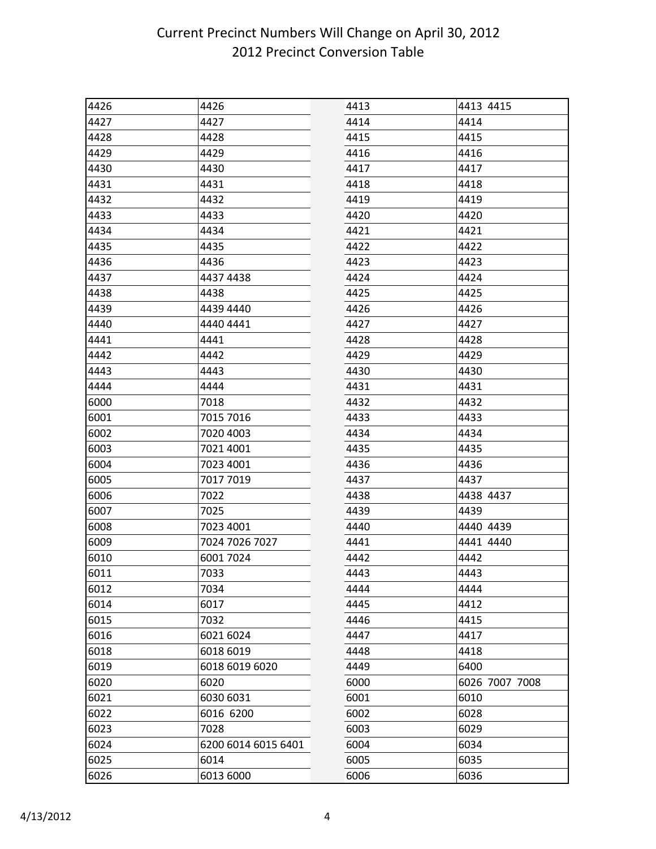| 4426 | 4426                | 4413 | 4413 4415      |
|------|---------------------|------|----------------|
| 4427 | 4427                | 4414 | 4414           |
| 4428 | 4428                | 4415 | 4415           |
| 4429 | 4429                | 4416 | 4416           |
| 4430 | 4430                | 4417 | 4417           |
| 4431 | 4431                | 4418 | 4418           |
| 4432 | 4432                | 4419 | 4419           |
| 4433 | 4433                | 4420 | 4420           |
| 4434 | 4434                | 4421 | 4421           |
| 4435 | 4435                | 4422 | 4422           |
| 4436 | 4436                | 4423 | 4423           |
| 4437 | 4437 4438           | 4424 | 4424           |
| 4438 | 4438                | 4425 | 4425           |
| 4439 | 4439 4440           | 4426 | 4426           |
| 4440 | 4440 4441           | 4427 | 4427           |
| 4441 | 4441                | 4428 | 4428           |
| 4442 | 4442                | 4429 | 4429           |
| 4443 | 4443                | 4430 | 4430           |
| 4444 | 4444                | 4431 | 4431           |
| 6000 | 7018                | 4432 | 4432           |
| 6001 | 7015 7016           | 4433 | 4433           |
| 6002 | 7020 4003           | 4434 | 4434           |
| 6003 | 7021 4001           | 4435 | 4435           |
| 6004 | 7023 4001           | 4436 | 4436           |
| 6005 | 7017 7019           | 4437 | 4437           |
| 6006 | 7022                | 4438 | 4438 4437      |
| 6007 | 7025                | 4439 | 4439           |
| 6008 | 7023 4001           | 4440 | 4440 4439      |
| 6009 | 7024 7026 7027      | 4441 | 4441 4440      |
| 6010 | 6001 7024           | 4442 | 4442           |
| 6011 | 7033                | 4443 | 4443           |
| 6012 | 7034                | 4444 | 4444           |
| 6014 | 6017                | 4445 | 4412           |
| 6015 | 7032                | 4446 | 4415           |
| 6016 | 6021 6024           | 4447 | 4417           |
| 6018 | 6018 6019           | 4448 | 4418           |
| 6019 | 6018 6019 6020      | 4449 | 6400           |
| 6020 | 6020                | 6000 | 6026 7007 7008 |
| 6021 | 6030 6031           | 6001 | 6010           |
| 6022 | 6016 6200           | 6002 | 6028           |
| 6023 | 7028                | 6003 | 6029           |
| 6024 | 6200 6014 6015 6401 | 6004 | 6034           |
| 6025 | 6014                | 6005 | 6035           |
| 6026 | 6013 6000           | 6006 | 6036           |
|      |                     |      |                |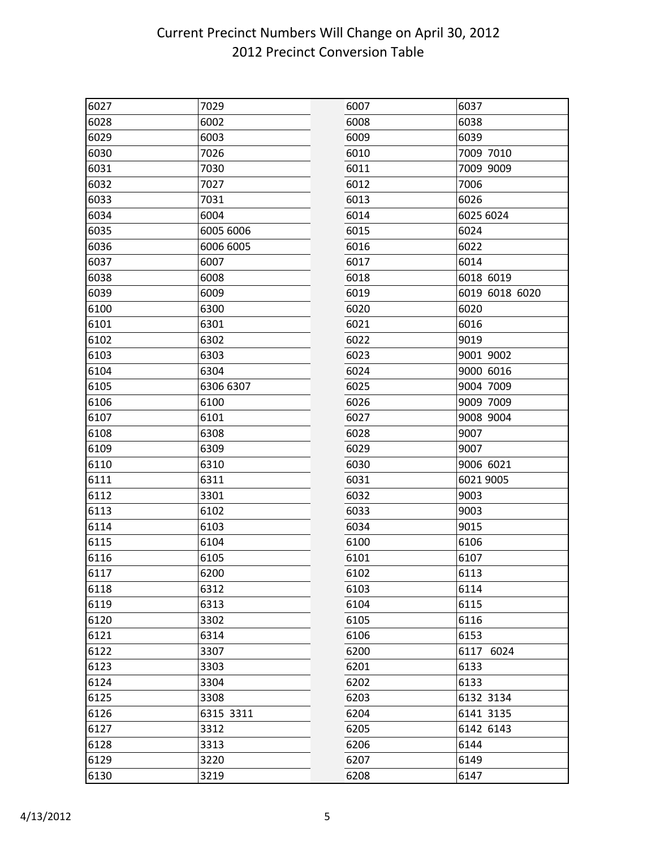| 6027 | 7029      | 6007 | 6037           |
|------|-----------|------|----------------|
| 6028 | 6002      | 6008 | 6038           |
| 6029 | 6003      | 6009 | 6039           |
| 6030 | 7026      | 6010 | 7009 7010      |
| 6031 | 7030      | 6011 | 7009 9009      |
| 6032 | 7027      | 6012 | 7006           |
| 6033 | 7031      | 6013 | 6026           |
| 6034 | 6004      | 6014 | 6025 6024      |
| 6035 | 6005 6006 | 6015 | 6024           |
| 6036 | 6006 6005 | 6016 | 6022           |
| 6037 | 6007      | 6017 | 6014           |
| 6038 | 6008      | 6018 | 6018 6019      |
| 6039 | 6009      | 6019 | 6019 6018 6020 |
| 6100 | 6300      | 6020 | 6020           |
| 6101 | 6301      | 6021 | 6016           |
| 6102 | 6302      | 6022 | 9019           |
| 6103 | 6303      | 6023 | 9001 9002      |
| 6104 | 6304      | 6024 | 9000 6016      |
| 6105 | 6306 6307 | 6025 | 9004 7009      |
| 6106 | 6100      | 6026 | 9009 7009      |
| 6107 | 6101      | 6027 | 9008 9004      |
| 6108 | 6308      | 6028 | 9007           |
| 6109 | 6309      | 6029 | 9007           |
| 6110 | 6310      | 6030 | 9006 6021      |
| 6111 | 6311      | 6031 | 6021 9005      |
| 6112 | 3301      | 6032 | 9003           |
| 6113 | 6102      | 6033 | 9003           |
| 6114 | 6103      | 6034 | 9015           |
| 6115 | 6104      | 6100 | 6106           |
| 6116 | 6105      | 6101 | 6107           |
| 6117 | 6200      | 6102 | 6113           |
| 6118 | 6312      | 6103 | 6114           |
| 6119 | 6313      | 6104 | 6115           |
| 6120 | 3302      | 6105 | 6116           |
| 6121 | 6314      | 6106 | 6153           |
| 6122 | 3307      | 6200 | 6117<br>6024   |
| 6123 | 3303      | 6201 | 6133           |
| 6124 | 3304      | 6202 | 6133           |
| 6125 | 3308      | 6203 | 6132 3134      |
| 6126 | 6315 3311 | 6204 | 6141 3135      |
| 6127 | 3312      | 6205 | 6142 6143      |
| 6128 | 3313      | 6206 | 6144           |
| 6129 | 3220      | 6207 | 6149           |
| 6130 | 3219      | 6208 | 6147           |
|      |           |      |                |

| 6007 | 6037              |
|------|-------------------|
| 6008 | 6038              |
| 6009 | 6039              |
| 6010 | 7009 7010         |
| 6011 | 7009 9009         |
| 6012 | 7006              |
| 6013 | 6026              |
| 6014 | 6025 6024         |
| 6015 | 6024              |
| 6016 | 6022              |
| 6017 | 6014              |
| 6018 | 6018 6019         |
| 6019 | 6019<br>6018 6020 |
| 6020 | 6020              |
| 6021 | 6016              |
| 6022 | 9019              |
| 6023 | 9001 9002         |
| 6024 | 9000<br>6016      |
| 6025 | 9004 7009         |
| 6026 | 9009<br>7009      |
| 6027 | 9008 9004         |
| 6028 | 9007              |
| 6029 | 9007              |
| 6030 | 9006 6021         |
| 6031 | 6021 9005         |
| 6032 | 9003              |
| 6033 | 9003              |
| 6034 | 9015              |
| 6100 | 6106              |
| 6101 | 6107              |
| 6102 | 6113              |
| 6103 | 6114              |
| 6104 | 6115              |
| 6105 | 6116              |
| 6106 | 6153              |
| 6200 | 6117<br>6024      |
| 6201 | 6133              |
| 6202 | 6133              |
| 6203 | 6132<br>3134      |
| 6204 | 6141<br>3135      |
| 6205 | 6142<br>6143      |
| 6206 | 6144              |
| 6207 | 6149              |
| 6208 | 6147              |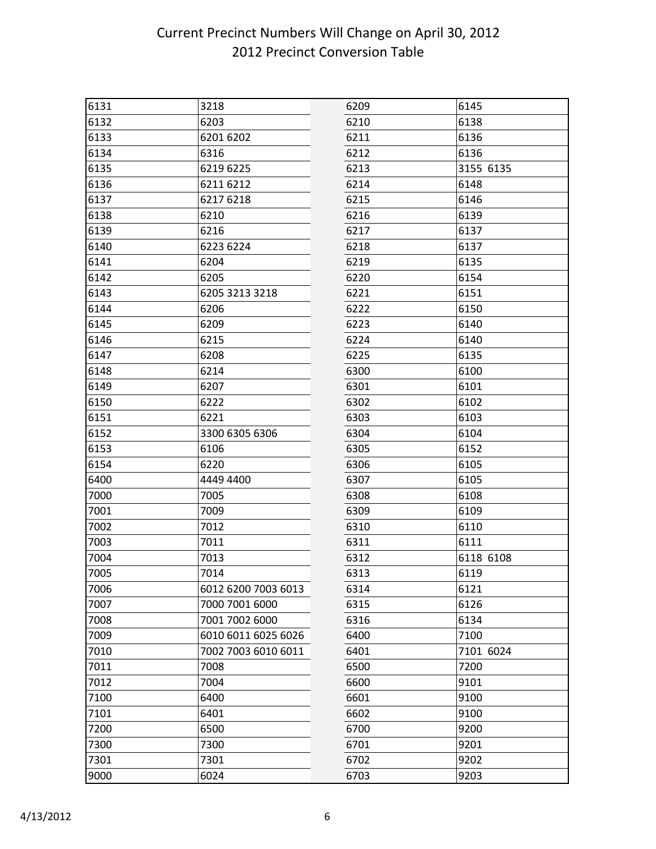| 6131 | 3218                | 6209 | 6145      |
|------|---------------------|------|-----------|
| 6132 | 6203                | 6210 | 6138      |
| 6133 | 6201 6202           | 6211 | 6136      |
| 6134 | 6316                | 6212 | 6136      |
| 6135 | 6219 6225           | 6213 | 3155 6135 |
| 6136 | 6211 6212           | 6214 | 6148      |
| 6137 | 6217 6218           | 6215 | 6146      |
| 6138 | 6210                | 6216 | 6139      |
| 6139 | 6216                | 6217 | 6137      |
| 6140 | 6223 6224           | 6218 | 6137      |
| 6141 | 6204                | 6219 | 6135      |
| 6142 | 6205                | 6220 | 6154      |
| 6143 | 6205 3213 3218      | 6221 | 6151      |
| 6144 | 6206                | 6222 | 6150      |
| 6145 | 6209                | 6223 | 6140      |
| 6146 | 6215                | 6224 | 6140      |
| 6147 | 6208                | 6225 | 6135      |
| 6148 | 6214                | 6300 | 6100      |
| 6149 | 6207                | 6301 | 6101      |
| 6150 | 6222                | 6302 | 6102      |
| 6151 | 6221                | 6303 | 6103      |
| 6152 | 3300 6305 6306      | 6304 | 6104      |
| 6153 | 6106                | 6305 | 6152      |
| 6154 | 6220                | 6306 | 6105      |
| 6400 | 4449 4400           | 6307 | 6105      |
| 7000 | 7005                | 6308 | 6108      |
| 7001 | 7009                | 6309 | 6109      |
| 7002 | 7012                | 6310 | 6110      |
| 7003 | 7011                | 6311 | 6111      |
| 7004 | 7013                | 6312 | 6118 6108 |
| 7005 | 7014                | 6313 | 6119      |
| 7006 | 6012 6200 7003 6013 | 6314 | 6121      |
| 7007 | 7000 7001 6000      | 6315 | 6126      |
| 7008 | 7001 7002 6000      | 6316 | 6134      |
| 7009 | 6010 6011 6025 6026 | 6400 | 7100      |
| 7010 | 7002 7003 6010 6011 | 6401 | 7101 6024 |
| 7011 | 7008                | 6500 | 7200      |
| 7012 | 7004                | 6600 | 9101      |
| 7100 | 6400                | 6601 | 9100      |
| 7101 | 6401                | 6602 | 9100      |
| 7200 | 6500                | 6700 | 9200      |
| 7300 | 7300                | 6701 | 9201      |
| 7301 | 7301                | 6702 | 9202      |
| 9000 | 6024                | 6703 | 9203      |
|      |                     |      |           |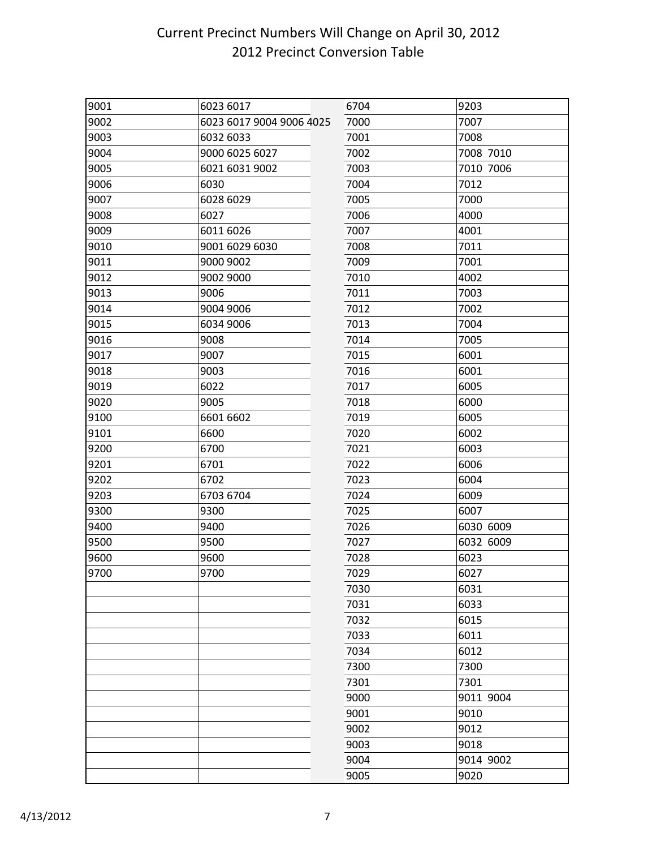| 9001 | 6023 6017                | 6704 | 9203      |
|------|--------------------------|------|-----------|
| 9002 | 6023 6017 9004 9006 4025 | 7000 | 7007      |
| 9003 | 6032 6033                | 7001 | 7008      |
| 9004 | 9000 6025 6027           | 7002 | 7008 7010 |
| 9005 | 6021 6031 9002           | 7003 | 7010 7006 |
| 9006 | 6030                     | 7004 | 7012      |
| 9007 | 6028 6029                | 7005 | 7000      |
| 9008 | 6027                     | 7006 | 4000      |
| 9009 | 6011 6026                | 7007 | 4001      |
| 9010 | 9001 6029 6030           | 7008 | 7011      |
| 9011 | 9000 9002                | 7009 | 7001      |
| 9012 | 9002 9000                | 7010 | 4002      |
| 9013 | 9006                     | 7011 | 7003      |
| 9014 | 9004 9006                | 7012 | 7002      |
| 9015 | 6034 9006                | 7013 | 7004      |
| 9016 | 9008                     | 7014 | 7005      |
| 9017 | 9007                     | 7015 | 6001      |
| 9018 | 9003                     | 7016 | 6001      |
| 9019 | 6022                     | 7017 | 6005      |
| 9020 | 9005                     | 7018 | 6000      |
| 9100 | 6601 6602                | 7019 | 6005      |
| 9101 | 6600                     | 7020 | 6002      |
| 9200 | 6700                     | 7021 | 6003      |
| 9201 | 6701                     | 7022 | 6006      |
| 9202 | 6702                     | 7023 | 6004      |
| 9203 | 6703 6704                | 7024 | 6009      |
| 9300 | 9300                     | 7025 | 6007      |
| 9400 | 9400                     | 7026 | 6030 6009 |
| 9500 | 9500                     | 7027 | 6032 6009 |
| 9600 | 9600                     | 7028 | 6023      |
| 9700 | 9700                     | 7029 | 6027      |
|      |                          | 7030 | 6031      |
|      |                          | 7031 | 6033      |
|      |                          | 7032 | 6015      |
|      |                          | 7033 | 6011      |
|      |                          | 7034 | 6012      |
|      |                          | 7300 | 7300      |
|      |                          | 7301 | 7301      |
|      |                          | 9000 | 9011 9004 |
|      |                          | 9001 | 9010      |
|      |                          | 9002 | 9012      |
|      |                          | 9003 | 9018      |
|      |                          | 9004 | 9014 9002 |
|      |                          | 9005 | 9020      |